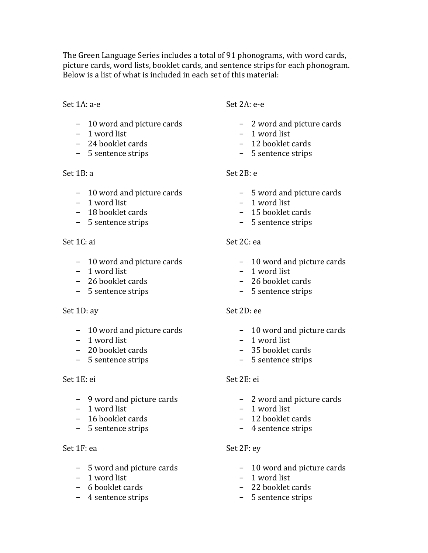The Green Language Series includes a total of 91 phonograms, with word cards, picture cards, word lists, booklet cards, and sentence strips for each phonogram. Below is a list of what is included in each set of this material:

#### Set 1A: a-e

- 10 word and picture cards
- 1 word list
- 24 booklet cards
- 5 sentence strips

### Set 1B: a

- 10 word and picture cards
- 1 word list
- 18 booklet cards
- 5 sentence strips

## $Set 1C: ai$

- 10 word and picture cards
- 1 word list
- 26 booklet cards
- 5 sentence strips

### Set 1D: ay

- 10 word and picture cards
- $-1$  word list
- 20 booklet cards
- 5 sentence strips

### Set 1E: ei

- 9 word and picture cards
- $-1$  word list
- 16 booklet cards
- 5 sentence strips

### $Set 1F: ea$

- 5 word and picture cards
- 1 word list
- 6 booklet cards
- 4 sentence strips

## Set 2A: e-e

- 2 word and picture cards
- 1 word list
- 12 booklet cards
- 5 sentence strips

# Set 2B: e

- 5 word and picture cards
- 1 word list
- 15 booklet cards
- 5 sentence strips

## Set  $2C$ : ea

- 10 word and picture cards
- 1 word list
- 26 booklet cards
- 5 sentence strips

### Set 2D: ee

- 10 word and picture cards
- $-1$  word list
- 35 booklet cards
- 5 sentence strips

## Set 2E: ei

- 2 word and picture cards
- $-1$  word list
- 12 booklet cards
- 4 sentence strips

## Set 2F: ey

- 10 word and picture cards
- 1 word list
- 22 booklet cards
- 5 sentence strips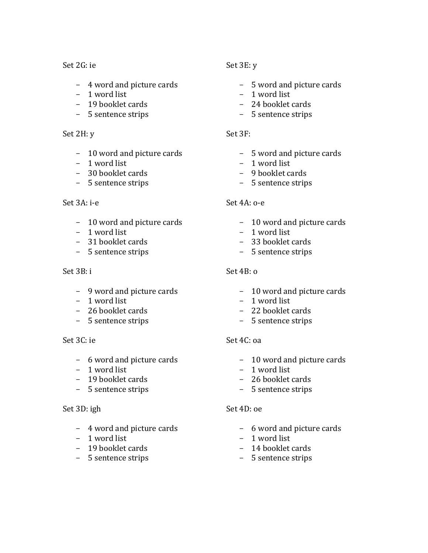Set 2G: ie

- 4 word and picture cards
- $-1$  word list
- 19 booklet cards
- 5 sentence strips

#### Set 2H: y

- 10 word and picture cards
- $-1$  word list
- 30 booklet cards
- 5 sentence strips

### Set 3A: i-e

- 10 word and picture cards
- 1 word list
- 31 booklet cards
- 5 sentence strips

### $Set 3B: i$

- 9 word and picture cards
- 1 word list
- 26 booklet cards
- 5 sentence strips

### Set 3C: ie

- 6 word and picture cards
- 1 word list
- 19 booklet cards
- 5 sentence strips

### Set 3D: igh

- 4 word and picture cards
- 1 word list
- 19 booklet cards
- 5 sentence strips

## Set 3E: y

- 5 word and picture cards
- $-1$  word list
- 24 booklet cards
- 5 sentence strips

### Set 3F:

- 5 word and picture cards
- $-1$  word list
- 9 booklet cards
- 5 sentence strips

## Set 4A: o-e

- 10 word and picture cards
- $-1$  word list
- 33 booklet cards
- 5 sentence strips

## Set  $4B: \alpha$

- 10 word and picture cards
- $-1$  word list
- 22 booklet cards
- 5 sentence strips

### Set 4C: oa

- 10 word and picture cards
- 1 word list
- 26 booklet cards
- 5 sentence strips

### Set 4D: oe

- 6 word and picture cards
- $-1$  word list
- 14 booklet cards
- 5 sentence strips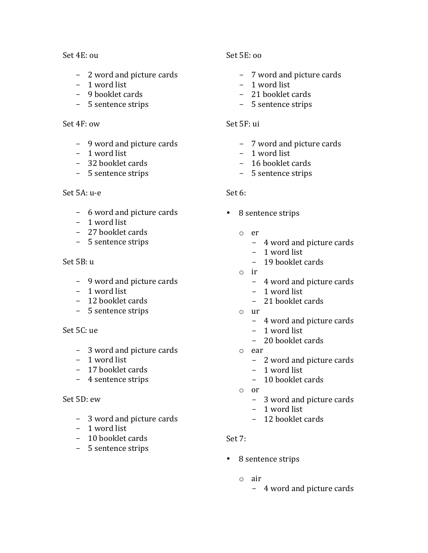#### Set 4E: ou

- 2 word and picture cards
- 1 word list
- 9 booklet cards
- 5 sentence strips

#### Set 4F: ow

- 9 word and picture cards
- $-1$  word list
- 32 booklet cards
- 5 sentence strips

#### Set 5A: u-e

- 6 word and picture cards
- 1 word list
- 27 booklet cards
- 5 sentence strips

#### Set 5B: u

- 9 word and picture cards
- 1 word list
- 12 booklet cards
- 5 sentence strips

#### Set 5C: ue

- 3 word and picture cards
- $-1$  word list
- 17 booklet cards
- 4 sentence strips

#### Set 5D: ew

- 3 word and picture cards
- 1 word list
- 10 booklet cards
- 5 sentence strips

#### Set 5E: oo

- 7 word and picture cards
- 1 word list
- 21 booklet cards
- 5 sentence strips

#### Set 5F: ui

- 7 word and picture cards
- $-1$  word list
- 16 booklet cards
- 5 sentence strips

### Set 6:

- 8 sentence strips
	- o er
		- 4 word and picture cards
		- $-1$  word list
		- 19 booklet cards
	- o ir
		- 4 word and picture cards
		- $-1$  word list
		- 21 booklet cards
	- o ur
		- 4 word and picture cards
		- 1 word list
		- 20 booklet cards
	- o ear
		- 2 word and picture cards
		- $-1$  word list
		- 10 booklet cards
	- o or
		- 3 word and picture cards
		- 1 word list
		- 12 booklet cards

#### Set 7:

- 8 sentence strips
	- o air
		- 4 word and picture cards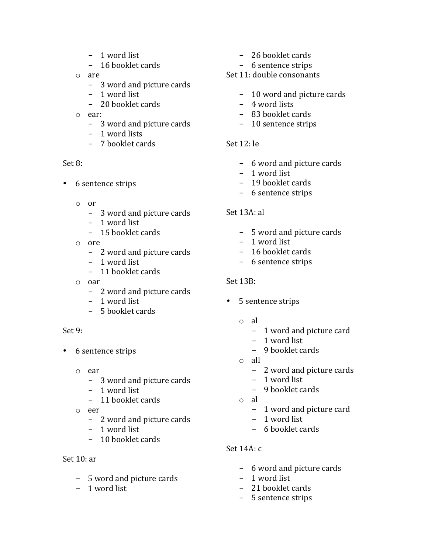- 1 word list
- 16 booklet cards
- o are
	- 3 word and picture cards
	- $-1$  word list
	- 20 booklet cards
- o ear:
	- 3 word and picture cards
	- 1 word lists
	- 7 booklet cards

## Set 8:

- 6 sentence strips
	- o or
		- 3 word and picture cards
		- 1 word list
		- 15 booklet cards
	- o ore
		- 2 word and picture cards
		- $-1$  word list
		- 11 booklet cards
	- o oar
		- 2 word and picture cards
		- 1 word list
		- 5 booklet cards

## Set 9:

- 6 sentence strips
	- o ear
		- 3 word and picture cards
		- 1 word list
		- 11 booklet cards
	- o eer
		- 2 word and picture cards
		- $-1$  word list
		- $-10$  booklet cards

# Set  $10:ar$

- 5 word and picture cards
- 1 word list
- 26 booklet cards
- 6 sentence strips

# Set 11: double consonants

- 10 word and picture cards
- 4 word lists
- 83 booklet cards
- 10 sentence strips

# Set  $12:$  le

- 6 word and picture cards
- 1 word list
- 19 booklet cards
- 6 sentence strips

# Set 13A: al

- 5 word and picture cards
- $-1$  word list
- 16 booklet cards
- 6 sentence strips

# Set 13B:

- 5 sentence strips
	- o al
		- 1 word and picture card
		- $-1$  word list
		- 9 booklet cards
	- o all
		- 2 word and picture cards
		- 1 word list
		- 9 booklet cards
	- o al
		- 1 word and picture card
		- 1 word list
		- 6 booklet cards

## Set 14A: c

- 6 word and picture cards
- $-1$  word list
- 21 booklet cards
- 5 sentence strips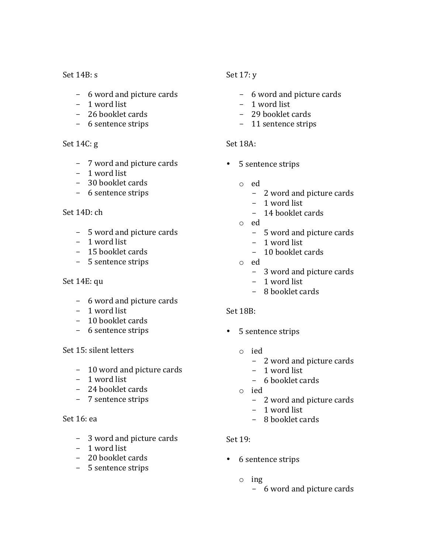#### Set  $14B: s$

- 6 word and picture cards
- 1 word list
- 26 booklet cards
- 6 sentence strips

#### Set  $14C:g$

- 7 word and picture cards
- 1 word list
- 30 booklet cards
- 6 sentence strips

#### $Set 14D: ch$

- 5 word and picture cards
- $-1$  word list
- 15 booklet cards
- 5 sentence strips

### Set 14E: qu

- 6 word and picture cards
- 1 word list
- 10 booklet cards
- 6 sentence strips

### Set 15: silent letters

- 10 word and picture cards
- 1 word list
- 24 booklet cards
- 7 sentence strips

#### Set 16: ea

- 3 word and picture cards
- $-1$  word list
- 20 booklet cards
- 5 sentence strips

## Set  $17: y$

- 6 word and picture cards
- 1 word list
- 29 booklet cards
- 11 sentence strips

### Set 18A:

- 5 sentence strips
	- o ed
		- 2 word and picture cards
		- 1 word list
		- 14 booklet cards
	- o ed
		- 5 word and picture cards
		- 1 word list
		- 10 booklet cards
	- o ed
		- 3 word and picture cards
		- $-1$  word list
		- 8 booklet cards

#### Set 18B:

- 5 sentence strips
	- o ied
		- 2 word and picture cards
		- $-1$  word list
		- 6 booklet cards
	- o ied
		- 2 word and picture cards
		- $-1$  word list
		- 8 booklet cards

#### Set 19:

- 6 sentence strips
	- o ing
		- 6 word and picture cards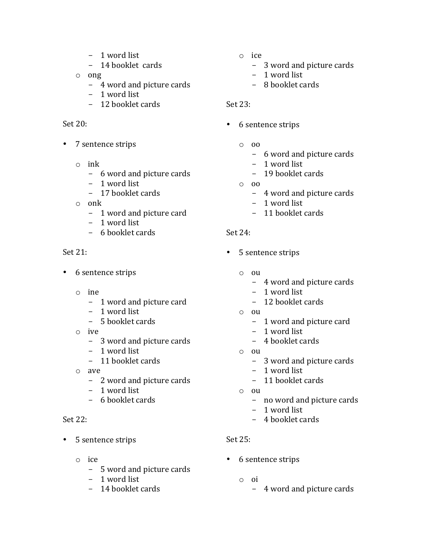- 1 word list
- 14 booklet cards
- o ong
	- 4 word and picture cards
	- 1 word list
	- 12 booklet cards

### Set 20:

- 7 sentence strips
	- o ink
		- 6 word and picture cards
		- 1 word list
		- 17 booklet cards
	- o onk
		- 1 word and picture card
		- 1 word list
		- $-6$  booklet cards

## Set 21:

- 6 sentence strips
	- o ine
		- 1 word and picture card
		- 1 word list
		- 5 booklet cards
	- o ive
		- 3 word and picture cards
		- $-1$  word list
		- 11 booklet cards
	- o ave
		- 2 word and picture cards
		- 1 word list
		- 6 booklet cards

## Set 22:

- 5 sentence strips
	- o ice
		- 5 word and picture cards
		- 1 word list
		- 14 booklet cards
- o ice
	- 3 word and picture cards
	- 1 word list
	- 8 booklet cards

## Set 23:

- 6 sentence strips
	- $\circ$  00
		- 6 word and picture cards
		- $-1$  word list
		- 19 booklet cards
	- o oo
		- 4 word and picture cards
		- 1 word list
		- 11 booklet cards

## $Set 24:$

- 5 sentence strips
	- o ou
		- 4 word and picture cards
		- 1 word list
		- 12 booklet cards
	- o ou
		- 1 word and picture card
		- 1 word list
		- 4 booklet cards
	- $\circ$   $\circ$   $\circ$ 
		- 3 word and picture cards
		- $-1$  word list
		- 11 booklet cards
	- o ou
		- no word and picture cards
		- 1 word list
		- 4 booklet cards

### $Set 25:$

- 6 sentence strips
	- o oi
		- 4 word and picture cards